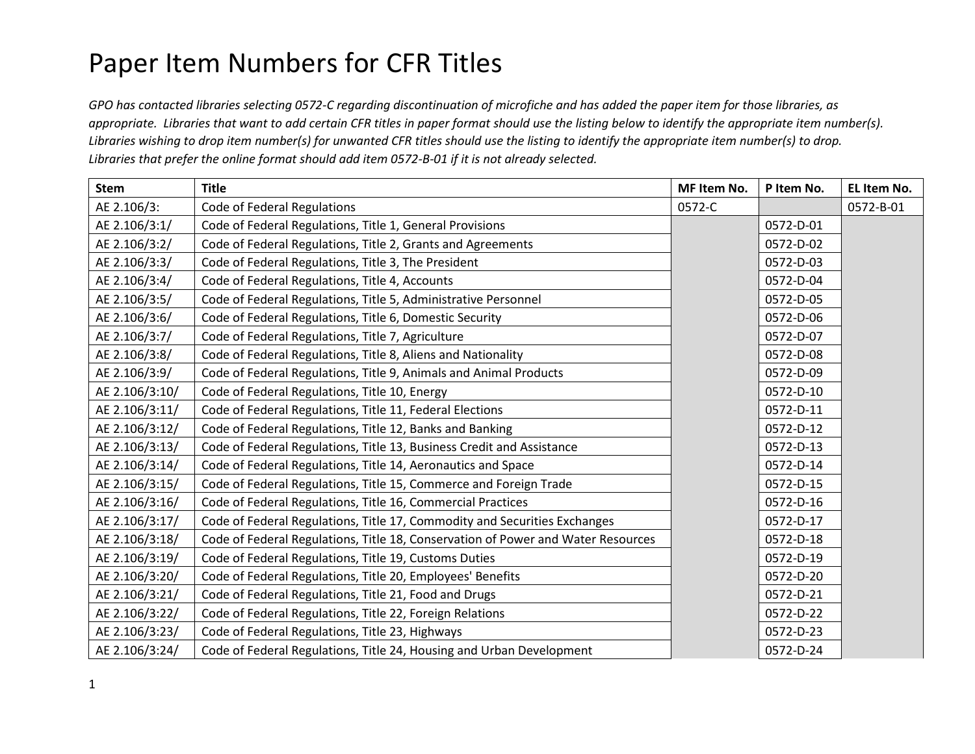## Paper Item Numbers for CFR Titles

*GPO has contacted libraries selecting 0572-C regarding discontinuation of microfiche and has added the paper item for those libraries, as appropriate. Libraries that want to add certain CFR titles in paper format should use the listing below to identify the appropriate item number(s). Libraries wishing to drop item number(s) for unwanted CFR titles should use the listing to identify the appropriate item number(s) to drop. Libraries that prefer the online format should add item 0572-B-01 if it is not already selected.* 

| <b>Stem</b>    | <b>Title</b>                                                                     | MF Item No. | P Item No. | EL Item No. |
|----------------|----------------------------------------------------------------------------------|-------------|------------|-------------|
| AE 2.106/3:    | <b>Code of Federal Regulations</b>                                               | 0572-C      |            | 0572-B-01   |
| AE 2.106/3:1/  | Code of Federal Regulations, Title 1, General Provisions                         |             | 0572-D-01  |             |
| AE 2.106/3:2/  | Code of Federal Regulations, Title 2, Grants and Agreements                      |             | 0572-D-02  |             |
| AE 2.106/3:3/  | Code of Federal Regulations, Title 3, The President                              |             | 0572-D-03  |             |
| AE 2.106/3:4/  | Code of Federal Regulations, Title 4, Accounts                                   |             | 0572-D-04  |             |
| AE 2.106/3:5/  | Code of Federal Regulations, Title 5, Administrative Personnel                   |             | 0572-D-05  |             |
| AE 2.106/3:6/  | Code of Federal Regulations, Title 6, Domestic Security                          |             | 0572-D-06  |             |
| AE 2.106/3:7/  | Code of Federal Regulations, Title 7, Agriculture                                |             | 0572-D-07  |             |
| AE 2.106/3:8/  | Code of Federal Regulations, Title 8, Aliens and Nationality                     |             | 0572-D-08  |             |
| AE 2.106/3:9/  | Code of Federal Regulations, Title 9, Animals and Animal Products                |             | 0572-D-09  |             |
| AE 2.106/3:10/ | Code of Federal Regulations, Title 10, Energy                                    |             | 0572-D-10  |             |
| AE 2.106/3:11/ | Code of Federal Regulations, Title 11, Federal Elections                         |             | 0572-D-11  |             |
| AE 2.106/3:12/ | Code of Federal Regulations, Title 12, Banks and Banking                         |             | 0572-D-12  |             |
| AE 2.106/3:13/ | Code of Federal Regulations, Title 13, Business Credit and Assistance            |             | 0572-D-13  |             |
| AE 2.106/3:14/ | Code of Federal Regulations, Title 14, Aeronautics and Space                     |             | 0572-D-14  |             |
| AE 2.106/3:15/ | Code of Federal Regulations, Title 15, Commerce and Foreign Trade                |             | 0572-D-15  |             |
| AE 2.106/3:16/ | Code of Federal Regulations, Title 16, Commercial Practices                      |             | 0572-D-16  |             |
| AE 2.106/3:17/ | Code of Federal Regulations, Title 17, Commodity and Securities Exchanges        |             | 0572-D-17  |             |
| AE 2.106/3:18/ | Code of Federal Regulations, Title 18, Conservation of Power and Water Resources |             | 0572-D-18  |             |
| AE 2.106/3:19/ | Code of Federal Regulations, Title 19, Customs Duties                            |             | 0572-D-19  |             |
| AE 2.106/3:20/ | Code of Federal Regulations, Title 20, Employees' Benefits                       |             | 0572-D-20  |             |
| AE 2.106/3:21/ | Code of Federal Regulations, Title 21, Food and Drugs                            |             | 0572-D-21  |             |
| AE 2.106/3:22/ | Code of Federal Regulations, Title 22, Foreign Relations                         |             | 0572-D-22  |             |
| AE 2.106/3:23/ | Code of Federal Regulations, Title 23, Highways                                  |             | 0572-D-23  |             |
| AE 2.106/3:24/ | Code of Federal Regulations, Title 24, Housing and Urban Development             |             | 0572-D-24  |             |